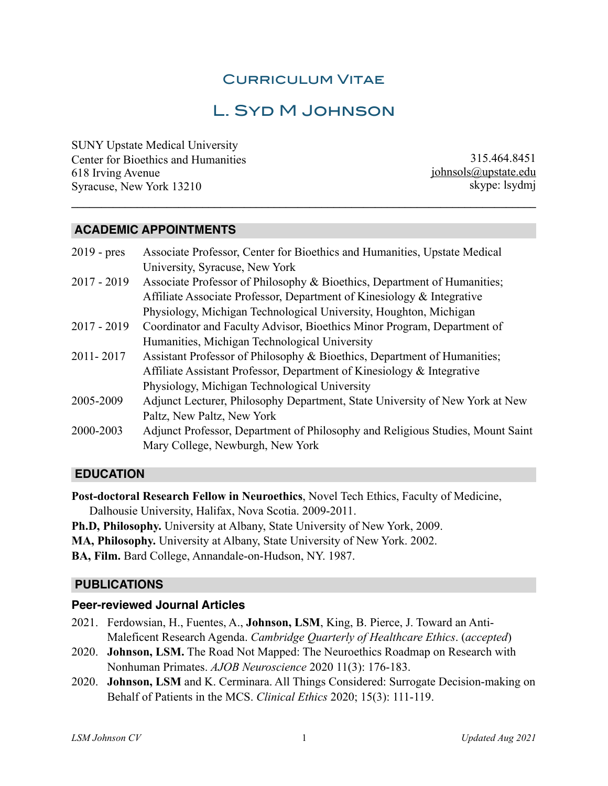## Curriculum Vitae

# L. Syd M Johnson

**\_\_\_\_\_\_\_\_\_\_\_\_\_\_\_\_\_\_\_\_\_\_\_\_\_\_\_\_\_\_\_\_\_\_\_\_\_\_\_\_\_\_\_\_\_\_\_\_\_\_\_\_\_\_\_\_\_\_\_\_\_\_\_\_\_\_\_\_\_\_\_\_\_\_\_\_\_\_** 

SUNY Upstate Medical University Center for Bioethics and Humanities 618 Irving Avenue Syracuse, New York 13210

315.464.8451 [johnsols@upstate.edu](mailto:johnsols@upstate.edu) skype: lsydmj

#### **ACADEMIC APPOINTMENTS**

| $2019$ - pres | Associate Professor, Center for Bioethics and Humanities, Upstate Medical      |
|---------------|--------------------------------------------------------------------------------|
|               | University, Syracuse, New York                                                 |
| $2017 - 2019$ | Associate Professor of Philosophy & Bioethics, Department of Humanities;       |
|               | Affiliate Associate Professor, Department of Kinesiology & Integrative         |
|               | Physiology, Michigan Technological University, Houghton, Michigan              |
| $2017 - 2019$ | Coordinator and Faculty Advisor, Bioethics Minor Program, Department of        |
|               | Humanities, Michigan Technological University                                  |
| 2011-2017     | Assistant Professor of Philosophy & Bioethics, Department of Humanities;       |
|               | Affiliate Assistant Professor, Department of Kinesiology & Integrative         |
|               | Physiology, Michigan Technological University                                  |
| 2005-2009     | Adjunct Lecturer, Philosophy Department, State University of New York at New   |
|               | Paltz, New Paltz, New York                                                     |
| 2000-2003     | Adjunct Professor, Department of Philosophy and Religious Studies, Mount Saint |
|               | Mary College, Newburgh, New York                                               |
|               |                                                                                |

#### **EDUCATION**

**Post-doctoral Research Fellow in Neuroethics**, Novel Tech Ethics, Faculty of Medicine, Dalhousie University, Halifax, Nova Scotia. 2009-2011. **Ph.D, Philosophy.** University at Albany, State University of New York, 2009. **MA, Philosophy.** University at Albany, State University of New York. 2002.

**BA, Film.** Bard College, Annandale-on-Hudson, NY. 1987.

#### **PUBLICATIONS**

#### **Peer-reviewed Journal Articles**

- 2021. Ferdowsian, H., Fuentes, A., **Johnson, LSM**, King, B. Pierce, J. Toward an Anti-Maleficent Research Agenda. *Cambridge Quarterly of Healthcare Ethics*. (*accepted*)
- 2020. **Johnson, LSM.** The Road Not Mapped: The Neuroethics Roadmap on Research with Nonhuman Primates. *AJOB Neuroscience* 2020 11(3): 176-183.
- 2020. **Johnson, LSM** and K. Cerminara. All Things Considered: Surrogate Decision-making on Behalf of Patients in the MCS. *Clinical Ethics* 2020; 15(3): 111-119.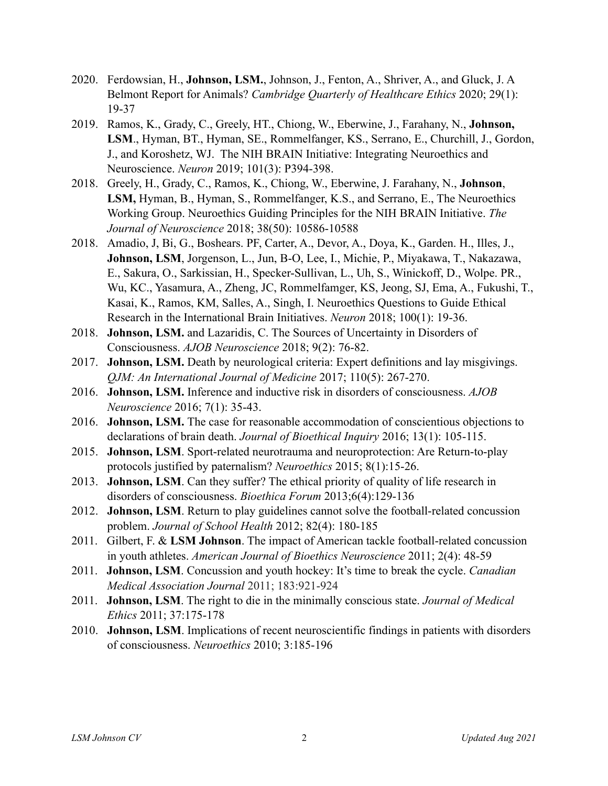- 2020. Ferdowsian, H., **Johnson, LSM.**, Johnson, J., Fenton, A., Shriver, A., and Gluck, J. A Belmont Report for Animals? *Cambridge Quarterly of Healthcare Ethics* 2020; 29(1): 19-37
- 2019. Ramos, K., Grady, C., Greely, HT., Chiong, W., Eberwine, J., Farahany, N., **Johnson, LSM**., Hyman, BT., Hyman, SE., Rommelfanger, KS., Serrano, E., Churchill, J., Gordon, J., and Koroshetz, WJ. The NIH BRAIN Initiative: Integrating Neuroethics and Neuroscience. *Neuron* 2019; 101(3): P394-398.
- 2018. Greely, H., Grady, C., Ramos, K., Chiong, W., Eberwine, J. Farahany, N., **Johnson**, **LSM,** Hyman, B., Hyman, S., Rommelfanger, K.S., and Serrano, E., The Neuroethics Working Group. Neuroethics Guiding Principles for the NIH BRAIN Initiative. *The Journal of Neuroscience* 2018; 38(50): 10586-10588
- 2018. Amadio, J, Bi, G., Boshears. PF, Carter, A., Devor, A., Doya, K., Garden. H., Illes, J., **Johnson, LSM**, Jorgenson, L., Jun, B-O, Lee, I., Michie, P., Miyakawa, T., Nakazawa, E., Sakura, O., Sarkissian, H., Specker-Sullivan, L., Uh, S., Winickoff, D., Wolpe. PR., Wu, KC., Yasamura, A., Zheng, JC, Rommelfamger, KS, Jeong, SJ, Ema, A., Fukushi, T., Kasai, K., Ramos, KM, Salles, A., Singh, I. Neuroethics Questions to Guide Ethical Research in the International Brain Initiatives. *Neuron* 2018; 100(1): 19-36.
- 2018. **Johnson, LSM.** and Lazaridis, C. The Sources of Uncertainty in Disorders of Consciousness. *AJOB Neuroscience* 2018; 9(2): 76-82.
- 2017. **Johnson, LSM.** Death by neurological criteria: Expert definitions and lay misgivings. *QJM: An International Journal of Medicine* 2017; 110(5): 267-270.
- 2016. **Johnson, LSM.** Inference and inductive risk in disorders of consciousness. *AJOB Neuroscience* 2016; 7(1): 35-43.
- 2016. **Johnson, LSM.** The case for reasonable accommodation of conscientious objections to declarations of brain death. *Journal of Bioethical Inquiry* 2016; 13(1): 105-115.
- 2015. **Johnson, LSM**. Sport-related neurotrauma and neuroprotection: Are Return-to-play protocols justified by paternalism? *Neuroethics* 2015; 8(1):15-26.
- 2013. **Johnson, LSM**. Can they suffer? The ethical priority of quality of life research in disorders of consciousness. *Bioethica Forum* 2013;6(4):129-136
- 2012. **Johnson, LSM**. Return to play guidelines cannot solve the football-related concussion problem. *Journal of School Health* 2012; 82(4): 180-185
- 2011. Gilbert, F. & **LSM Johnson**. The impact of American tackle football-related concussion in youth athletes. *American Journal of Bioethics Neuroscience* 2011; 2(4): 48-59
- 2011. **Johnson, LSM**. Concussion and youth hockey: It's time to break the cycle. *Canadian Medical Association Journal* 2011; 183:921-924
- 2011. **Johnson, LSM**. The right to die in the minimally conscious state. *Journal of Medical Ethics* 2011; 37:175-178
- 2010. **Johnson, LSM**. Implications of recent neuroscientific findings in patients with disorders of consciousness. *Neuroethics* 2010; 3:185-196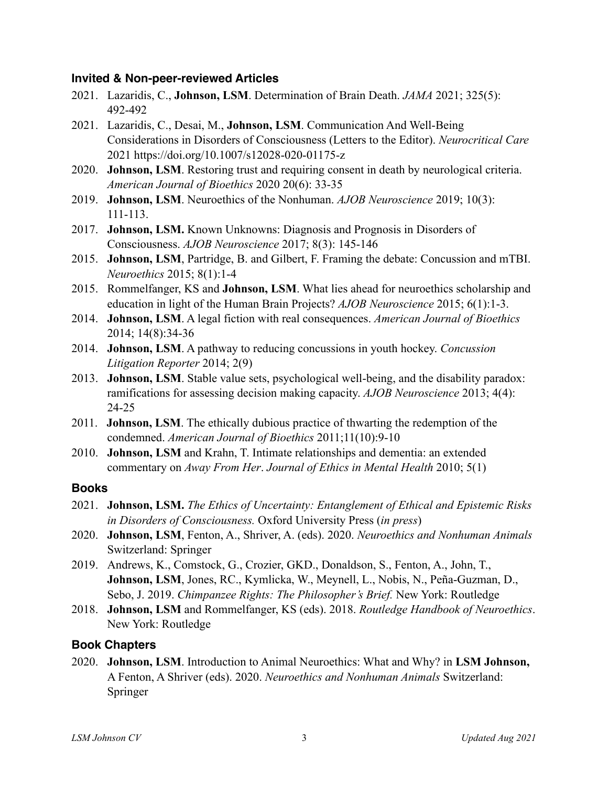#### **Invited & Non-peer-reviewed Articles**

- 2021. Lazaridis, C., **Johnson, LSM**. Determination of Brain Death. *JAMA* 2021; 325(5): 492-492
- 2021. Lazaridis, C., Desai, M., **Johnson, LSM**. Communication And Well-Being Considerations in Disorders of Consciousness (Letters to the Editor). *Neurocritical Care* 2021 https://doi.org/10.1007/s12028-020-01175-z
- 2020. **Johnson, LSM**. Restoring trust and requiring consent in death by neurological criteria. *American Journal of Bioethics* 2020 20(6): 33-35
- 2019. **Johnson, LSM**. Neuroethics of the Nonhuman. *AJOB Neuroscience* 2019; 10(3): 111-113.
- 2017. **Johnson, LSM.** Known Unknowns: Diagnosis and Prognosis in Disorders of Consciousness. *AJOB Neuroscience* 2017; 8(3): 145-146
- 2015. **Johnson, LSM**, Partridge, B. and Gilbert, F. Framing the debate: Concussion and mTBI. *Neuroethics* 2015; 8(1):1-4
- 2015. Rommelfanger, KS and **Johnson, LSM**. What lies ahead for neuroethics scholarship and education in light of the Human Brain Projects? *AJOB Neuroscience* 2015; 6(1):1-3.
- 2014. **Johnson, LSM**. A legal fiction with real consequences. *American Journal of Bioethics* 2014; 14(8):34-36
- 2014. **Johnson, LSM**. A pathway to reducing concussions in youth hockey. *Concussion Litigation Reporter* 2014; 2(9)
- 2013. **Johnson, LSM**. Stable value sets, psychological well-being, and the disability paradox: ramifications for assessing decision making capacity. *AJOB Neuroscience* 2013; 4(4): 24-25
- 2011. **Johnson, LSM**. The ethically dubious practice of thwarting the redemption of the condemned. *American Journal of Bioethics* 2011;11(10):9-10
- 2010. **Johnson, LSM** and Krahn, T. Intimate relationships and dementia: an extended commentary on *Away From Her*. *Journal of Ethics in Mental Health* 2010; 5(1)

#### **Books**

- 2021. **Johnson, LSM.** *The Ethics of Uncertainty: Entanglement of Ethical and Epistemic Risks in Disorders of Consciousness.* Oxford University Press (*in press*)
- 2020. **Johnson, LSM**, Fenton, A., Shriver, A. (eds). 2020. *Neuroethics and Nonhuman Animals* Switzerland: Springer
- 2019. Andrews, K., Comstock, G., Crozier, GKD., Donaldson, S., Fenton, A., John, T., **Johnson, LSM**, Jones, RC., Kymlicka, W., Meynell, L., Nobis, N., Peña-Guzman, D., Sebo, J. 2019. *Chimpanzee Rights: The Philosopher's Brief.* New York: Routledge
- 2018. **Johnson, LSM** and Rommelfanger, KS (eds). 2018. *Routledge Handbook of Neuroethics*. New York: Routledge

### **Book Chapters**

2020. **Johnson, LSM**. Introduction to Animal Neuroethics: What and Why? in **LSM Johnson,**  A Fenton, A Shriver (eds). 2020. *Neuroethics and Nonhuman Animals* Switzerland: Springer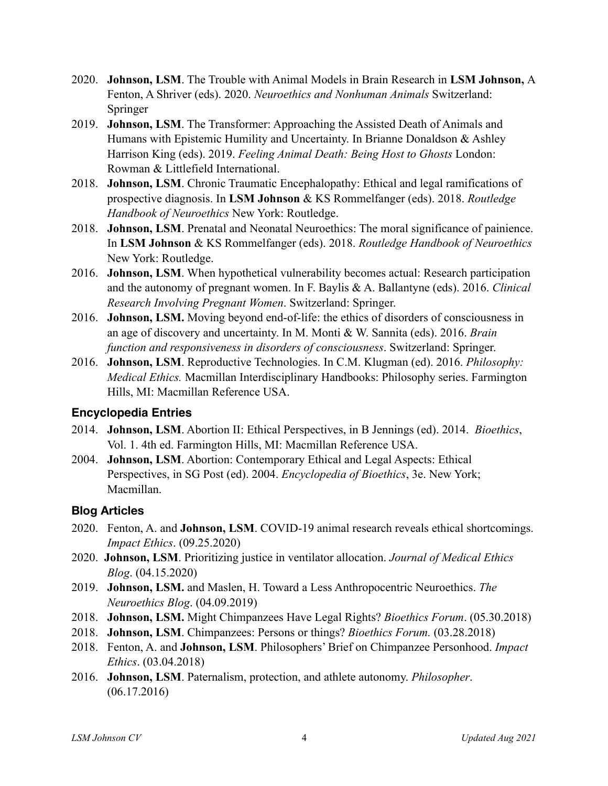- 2020. **Johnson, LSM**. The Trouble with Animal Models in Brain Research in **LSM Johnson,** A Fenton, A Shriver (eds). 2020. *Neuroethics and Nonhuman Animals* Switzerland: Springer
- 2019. **Johnson, LSM**. The Transformer: Approaching the Assisted Death of Animals and Humans with Epistemic Humility and Uncertainty. In Brianne Donaldson & Ashley Harrison King (eds). 2019. *Feeling Animal Death: Being Host to Ghosts* London: Rowman & Littlefield International.
- 2018. **Johnson, LSM**. Chronic Traumatic Encephalopathy: Ethical and legal ramifications of prospective diagnosis. In **LSM Johnson** & KS Rommelfanger (eds). 2018. *Routledge Handbook of Neuroethics* New York: Routledge.
- 2018. **Johnson, LSM**. Prenatal and Neonatal Neuroethics: The moral significance of painience. In **LSM Johnson** & KS Rommelfanger (eds). 2018. *Routledge Handbook of Neuroethics* New York: Routledge.
- 2016. **Johnson, LSM**. When hypothetical vulnerability becomes actual: Research participation and the autonomy of pregnant women. In F. Baylis & A. Ballantyne (eds). 2016. *Clinical Research Involving Pregnant Women*. Switzerland: Springer.
- 2016. **Johnson, LSM.** Moving beyond end-of-life: the ethics of disorders of consciousness in an age of discovery and uncertainty. In M. Monti & W. Sannita (eds). 2016. *Brain function and responsiveness in disorders of consciousness*. Switzerland: Springer.
- 2016. **Johnson, LSM**. Reproductive Technologies. In C.M. Klugman (ed). 2016. *Philosophy: Medical Ethics.* Macmillan Interdisciplinary Handbooks: Philosophy series. Farmington Hills, MI: Macmillan Reference USA.

### **Encyclopedia Entries**

- 2014. **Johnson, LSM**. Abortion II: Ethical Perspectives, in B Jennings (ed). 2014. *Bioethics*, Vol. 1. 4th ed. Farmington Hills, MI: Macmillan Reference USA.
- 2004. **Johnson, LSM**. Abortion: Contemporary Ethical and Legal Aspects: Ethical Perspectives, in SG Post (ed). 2004. *Encyclopedia of Bioethics*, 3e. New York; Macmillan.

### **Blog Articles**

- 2020. Fenton, A. and **Johnson, LSM**. COVID-19 animal research reveals ethical shortcomings. *Impact Ethics*. (09.25.2020)
- 2020. **Johnson, LSM**. Prioritizing justice in ventilator allocation. *Journal of Medical Ethics Blog*. (04.15.2020)
- 2019. **Johnson, LSM.** and Maslen, H. Toward a Less Anthropocentric Neuroethics. *The Neuroethics Blog*. (04.09.2019)
- 2018. **Johnson, LSM.** Might Chimpanzees Have Legal Rights? *Bioethics Forum*. (05.30.2018)
- 2018. **Johnson, LSM**. Chimpanzees: Persons or things? *Bioethics Forum.* (03.28.2018)
- 2018. Fenton, A. and **Johnson, LSM**. Philosophers' Brief on Chimpanzee Personhood. *Impact Ethics*. (03.04.2018)
- 2016. **Johnson, LSM**. Paternalism, protection, and athlete autonomy. *Philosopher*. (06.17.2016)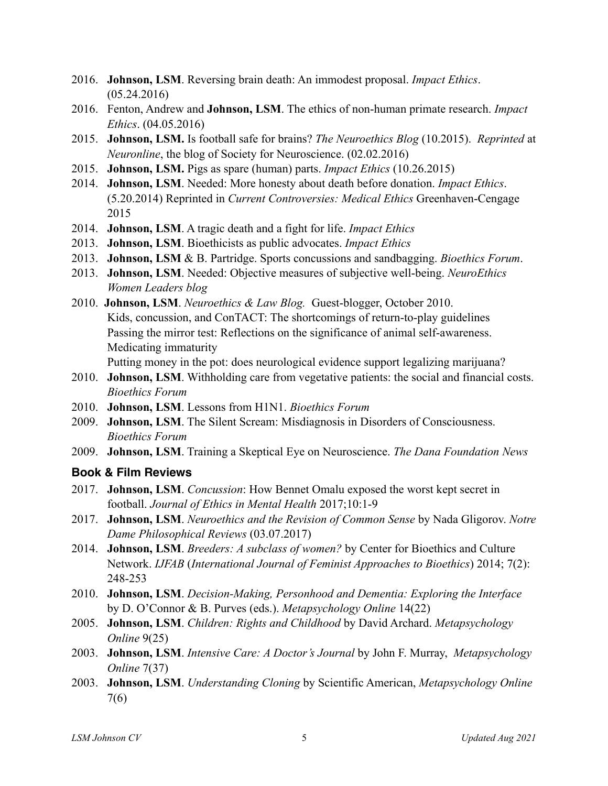- 2016. **Johnson, LSM**. Reversing brain death: An immodest proposal. *Impact Ethics*. (05.24.2016)
- 2016. Fenton, Andrew and **Johnson, LSM**. The ethics of non-human primate research. *Impact Ethics*. (04.05.2016)
- 2015. **Johnson, LSM.** Is football safe for brains? *The Neuroethics Blog* (10.2015). *Reprinted* at *Neuronline*, the blog of Society for Neuroscience. (02.02.2016)
- 2015. **Johnson, LSM.** Pigs as spare (human) parts. *Impact Ethics* (10.26.2015)
- 2014. **Johnson, LSM**. Needed: More honesty about death before donation. *Impact Ethics*. (5.20.2014) Reprinted in *Current Controversies: Medical Ethics* Greenhaven-Cengage 2015
- 2014. **Johnson, LSM**. A tragic death and a fight for life. *Impact Ethics*
- 2013. **Johnson, LSM**. Bioethicists as public advocates. *Impact Ethics*
- 2013. **Johnson, LSM** & B. Partridge. Sports concussions and sandbagging. *Bioethics Forum*.
- 2013. **Johnson, LSM**. Needed: Objective measures of subjective well-being. *NeuroEthics Women Leaders blog*
- 2010. **Johnson, LSM**. *Neuroethics & Law Blog.* Guest-blogger, October 2010. Kids, concussion, and ConTACT: The shortcomings of return-to-play guidelines Passing the mirror test: Reflections on the significance of animal self-awareness. Medicating immaturity

Putting money in the pot: does neurological evidence support legalizing marijuana?

- 2010. **Johnson, LSM**. Withholding care from vegetative patients: the social and financial costs. *Bioethics Forum*
- 2010. **Johnson, LSM**. Lessons from H1N1. *Bioethics Forum*
- 2009. **Johnson, LSM**. The Silent Scream: Misdiagnosis in Disorders of Consciousness. *Bioethics Forum*
- 2009. **Johnson, LSM**. Training a Skeptical Eye on Neuroscience. *The Dana Foundation News*

### **Book & Film Reviews**

- 2017. **Johnson, LSM**. *Concussion*: How Bennet Omalu exposed the worst kept secret in football. *Journal of Ethics in Mental Health* 2017;10:1-9
- 2017. **Johnson, LSM**. *Neuroethics and the Revision of Common Sense* by Nada Gligorov. *Notre Dame Philosophical Reviews* (03.07.2017)
- 2014. **Johnson, LSM**. *Breeders: A subclass of women?* by Center for Bioethics and Culture Network. *IJFAB* (*International Journal of Feminist Approaches to Bioethics*) 2014; 7(2): 248-253
- 2010. **Johnson, LSM**. *Decision-Making, Personhood and Dementia: Exploring the Interface* by D. O'Connor & B. Purves (eds.). *Metapsychology Online* 14(22)
- 2005. **Johnson, LSM**. *Children: Rights and Childhood* by David Archard. *Metapsychology Online* 9(25)
- 2003. **Johnson, LSM**. *Intensive Care: A Doctor's Journal* by John F. Murray, *Metapsychology Online* 7(37)
- 2003. **Johnson, LSM**. *Understanding Cloning* by Scientific American, *Metapsychology Online*  7(6)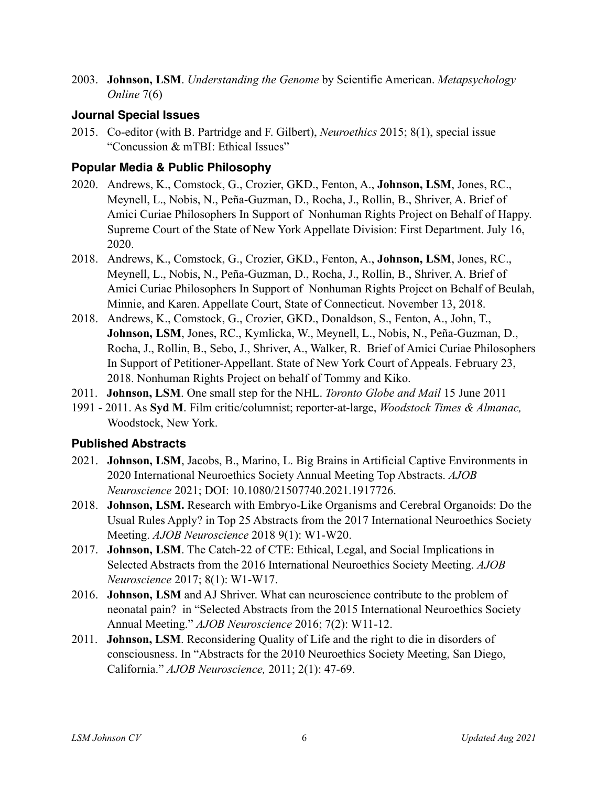2003. **Johnson, LSM**. *Understanding the Genome* by Scientific American. *Metapsychology Online* 7(6)

#### **Journal Special Issues**

2015. Co-editor (with B. Partridge and F. Gilbert), *Neuroethics* 2015; 8(1), special issue "Concussion & mTBI: Ethical Issues"

### **Popular Media & Public Philosophy**

- 2020. Andrews, K., Comstock, G., Crozier, GKD., Fenton, A., **Johnson, LSM**, Jones, RC., Meynell, L., Nobis, N., Peña-Guzman, D., Rocha, J., Rollin, B., Shriver, A. Brief of Amici Curiae Philosophers In Support of Nonhuman Rights Project on Behalf of Happy. Supreme Court of the State of New York Appellate Division: First Department. July 16, 2020.
- 2018. Andrews, K., Comstock, G., Crozier, GKD., Fenton, A., **Johnson, LSM**, Jones, RC., Meynell, L., Nobis, N., Peña-Guzman, D., Rocha, J., Rollin, B., Shriver, A. Brief of Amici Curiae Philosophers In Support of Nonhuman Rights Project on Behalf of Beulah, Minnie, and Karen. Appellate Court, State of Connecticut. November 13, 2018.
- 2018. Andrews, K., Comstock, G., Crozier, GKD., Donaldson, S., Fenton, A., John, T., **Johnson, LSM**, Jones, RC., Kymlicka, W., Meynell, L., Nobis, N., Peña-Guzman, D., Rocha, J., Rollin, B., Sebo, J., Shriver, A., Walker, R. Brief of Amici Curiae Philosophers In Support of Petitioner-Appellant. State of New York Court of Appeals. February 23, 2018. Nonhuman Rights Project on behalf of Tommy and Kiko.
- 2011. **Johnson, LSM**. One small step for the NHL. *Toronto Globe and Mail* 15 June 2011
- 1991 2011. As **Syd M**. Film critic/columnist; reporter-at-large, *Woodstock Times & Almanac,*  Woodstock, New York.

### **Published Abstracts**

- 2021. **Johnson, LSM**, Jacobs, B., Marino, L. Big Brains in Artificial Captive Environments in 2020 International Neuroethics Society Annual Meeting Top Abstracts. *AJOB Neuroscience* 2021; DOI: 10.1080/21507740.2021.1917726.
- 2018. **Johnson, LSM.** Research with Embryo-Like Organisms and Cerebral Organoids: Do the Usual Rules Apply? in Top 25 Abstracts from the 2017 International Neuroethics Society Meeting. *AJOB Neuroscience* 2018 9(1): W1-W20.
- 2017. **Johnson, LSM**. The Catch-22 of CTE: Ethical, Legal, and Social Implications in Selected Abstracts from the 2016 International Neuroethics Society Meeting. *AJOB Neuroscience* 2017; 8(1): W1-W17.
- 2016. **Johnson, LSM** and AJ Shriver. What can neuroscience contribute to the problem of neonatal pain? in "Selected Abstracts from the 2015 International Neuroethics Society Annual Meeting." *AJOB Neuroscience* 2016; 7(2): W11-12.
- 2011. **Johnson, LSM**. Reconsidering Quality of Life and the right to die in disorders of consciousness. In "Abstracts for the 2010 Neuroethics Society Meeting, San Diego, California." *AJOB Neuroscience,* 2011; 2(1): 47-69.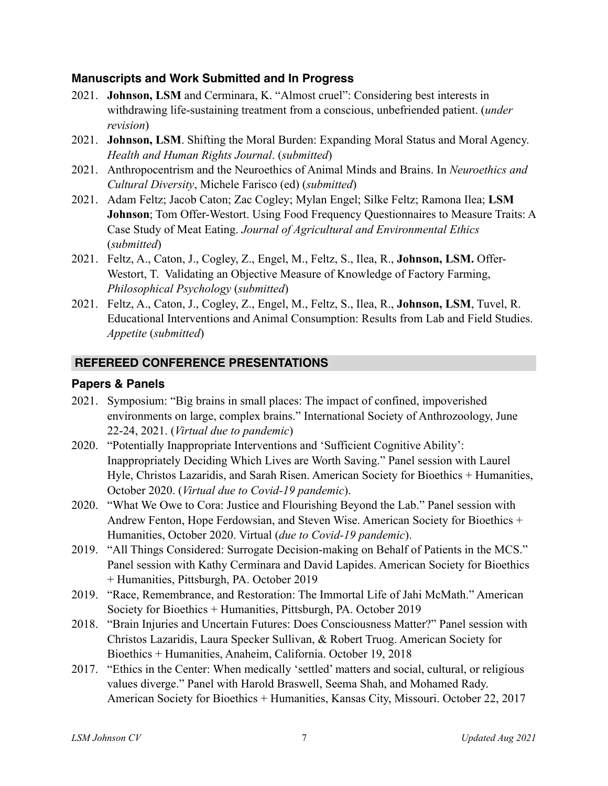#### **Manuscripts and Work Submitted and In Progress**

- 2021. **Johnson, LSM** and Cerminara, K. "Almost cruel": Considering best interests in withdrawing life-sustaining treatment from a conscious, unbefriended patient. (*under revision*)
- 2021. **Johnson, LSM**. Shifting the Moral Burden: Expanding Moral Status and Moral Agency. *Health and Human Rights Journal*. (*submitted*)
- 2021. Anthropocentrism and the Neuroethics of Animal Minds and Brains. In *Neuroethics and Cultural Diversity*, Michele Farisco (ed) (*submitted*)
- 2021. Adam Feltz; Jacob Caton; Zac Cogley; Mylan Engel; Silke Feltz; Ramona Ilea; **LSM Johnson**; Tom Offer-Westort. Using Food Frequency Ouestionnaires to Measure Traits: A Case Study of Meat Eating. *Journal of Agricultural and Environmental Ethics* (*submitted*)
- 2021. Feltz, A., Caton, J., Cogley, Z., Engel, M., Feltz, S., Ilea, R., **Johnson, LSM.** Offer-Westort, T. Validating an Objective Measure of Knowledge of Factory Farming, *Philosophical Psychology* (*submitted*)
- 2021. Feltz, A., Caton, J., Cogley, Z., Engel, M., Feltz, S., Ilea, R., **Johnson, LSM**, Tuvel, R. Educational Interventions and Animal Consumption: Results from Lab and Field Studies. *Appetite* (*submitted*)

### **REFEREED CONFERENCE PRESENTATIONS**

#### **Papers & Panels**

- 2021. Symposium: "Big brains in small places: The impact of confined, impoverished environments on large, complex brains." International Society of Anthrozoology, June 22-24, 2021. (*Virtual due to pandemic*)
- 2020. "Potentially Inappropriate Interventions and 'Sufficient Cognitive Ability': Inappropriately Deciding Which Lives are Worth Saving." Panel session with Laurel Hyle, Christos Lazaridis, and Sarah Risen. American Society for Bioethics + Humanities, October 2020. (*Virtual due to Covid-19 pandemic*).
- 2020. "What We Owe to Cora: Justice and Flourishing Beyond the Lab." Panel session with Andrew Fenton, Hope Ferdowsian, and Steven Wise. American Society for Bioethics + Humanities, October 2020. Virtual (*due to Covid-19 pandemic*).
- 2019. "All Things Considered: Surrogate Decision-making on Behalf of Patients in the MCS." Panel session with Kathy Cerminara and David Lapides. American Society for Bioethics + Humanities, Pittsburgh, PA. October 2019
- 2019. "Race, Remembrance, and Restoration: The Immortal Life of Jahi McMath." American Society for Bioethics + Humanities, Pittsburgh, PA. October 2019
- 2018. "Brain Injuries and Uncertain Futures: Does Consciousness Matter?" Panel session with Christos Lazaridis, Laura Specker Sullivan, & Robert Truog. American Society for Bioethics + Humanities, Anaheim, California. October 19, 2018
- 2017. "Ethics in the Center: When medically 'settled' matters and social, cultural, or religious values diverge." Panel with Harold Braswell, Seema Shah, and Mohamed Rady. American Society for Bioethics + Humanities, Kansas City, Missouri. October 22, 2017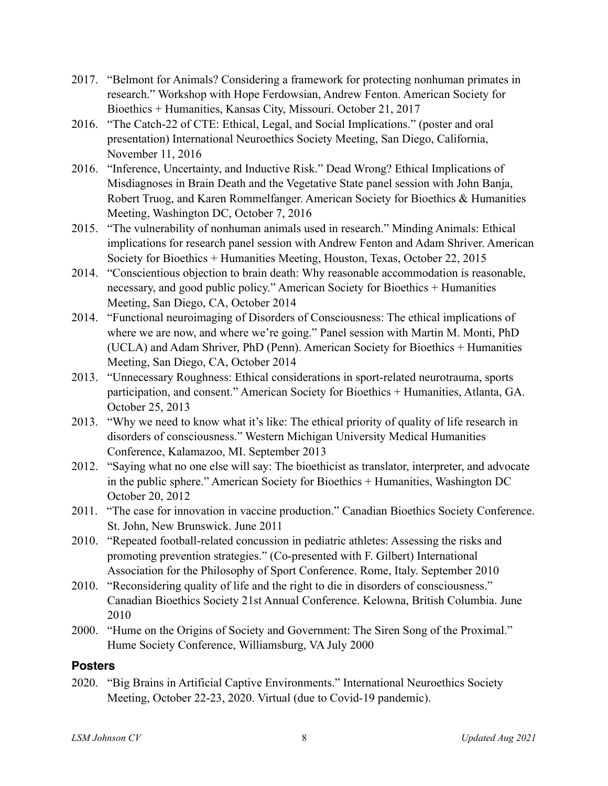- 2017. "Belmont for Animals? Considering a framework for protecting nonhuman primates in research." Workshop with Hope Ferdowsian, Andrew Fenton. American Society for Bioethics + Humanities, Kansas City, Missouri. October 21, 2017
- 2016. "The Catch-22 of CTE: Ethical, Legal, and Social Implications." (poster and oral presentation) International Neuroethics Society Meeting, San Diego, California, November 11, 2016
- 2016. "Inference, Uncertainty, and Inductive Risk." Dead Wrong? Ethical Implications of Misdiagnoses in Brain Death and the Vegetative State panel session with John Banja, Robert Truog, and Karen Rommelfanger. American Society for Bioethics & Humanities Meeting, Washington DC, October 7, 2016
- 2015. "The vulnerability of nonhuman animals used in research." Minding Animals: Ethical implications for research panel session with Andrew Fenton and Adam Shriver. American Society for Bioethics + Humanities Meeting, Houston, Texas, October 22, 2015
- 2014. "Conscientious objection to brain death: Why reasonable accommodation is reasonable, necessary, and good public policy." American Society for Bioethics + Humanities Meeting, San Diego, CA, October 2014
- 2014. "Functional neuroimaging of Disorders of Consciousness: The ethical implications of where we are now, and where we're going." Panel session with Martin M. Monti, PhD (UCLA) and Adam Shriver, PhD (Penn). American Society for Bioethics + Humanities Meeting, San Diego, CA, October 2014
- 2013. "Unnecessary Roughness: Ethical considerations in sport-related neurotrauma, sports participation, and consent." American Society for Bioethics + Humanities, Atlanta, GA. October 25, 2013
- 2013. "Why we need to know what it's like: The ethical priority of quality of life research in disorders of consciousness." Western Michigan University Medical Humanities Conference, Kalamazoo, MI. September 2013
- 2012. "Saying what no one else will say: The bioethicist as translator, interpreter, and advocate in the public sphere." American Society for Bioethics + Humanities, Washington DC October 20, 2012
- 2011. "The case for innovation in vaccine production." Canadian Bioethics Society Conference. St. John, New Brunswick. June 2011
- 2010. "Repeated football-related concussion in pediatric athletes: Assessing the risks and promoting prevention strategies." (Co-presented with F. Gilbert) International Association for the Philosophy of Sport Conference. Rome, Italy. September 2010
- 2010. "Reconsidering quality of life and the right to die in disorders of consciousness." Canadian Bioethics Society 21st Annual Conference. Kelowna, British Columbia. June 2010
- 2000. "Hume on the Origins of Society and Government: The Siren Song of the Proximal." Hume Society Conference, Williamsburg, VA July 2000

### **Posters**

2020. "Big Brains in Artificial Captive Environments." International Neuroethics Society Meeting, October 22-23, 2020. Virtual (due to Covid-19 pandemic).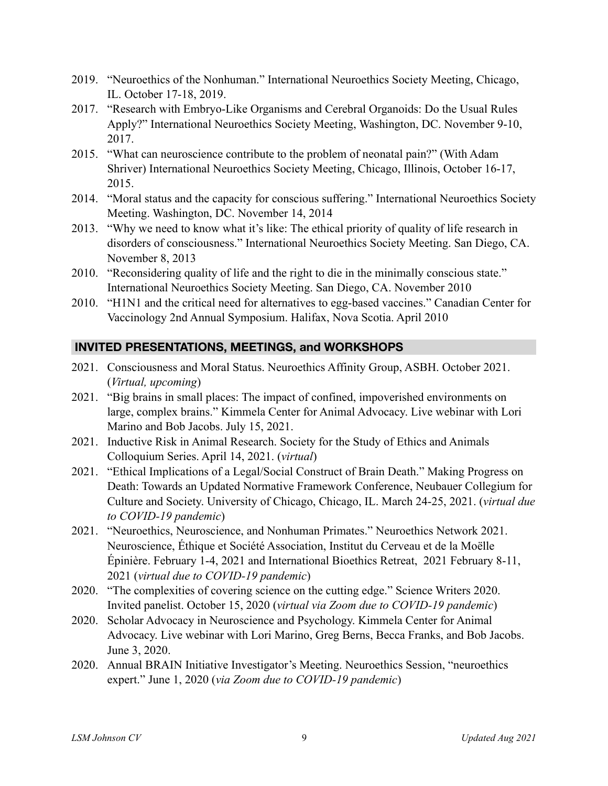- 2019. "Neuroethics of the Nonhuman." International Neuroethics Society Meeting, Chicago, IL. October 17-18, 2019.
- 2017. "Research with Embryo-Like Organisms and Cerebral Organoids: Do the Usual Rules Apply?" International Neuroethics Society Meeting, Washington, DC. November 9-10, 2017.
- 2015. "What can neuroscience contribute to the problem of neonatal pain?" (With Adam Shriver) International Neuroethics Society Meeting, Chicago, Illinois, October 16-17, 2015.
- 2014. "Moral status and the capacity for conscious suffering." International Neuroethics Society Meeting. Washington, DC. November 14, 2014
- 2013. "Why we need to know what it's like: The ethical priority of quality of life research in disorders of consciousness." International Neuroethics Society Meeting. San Diego, CA. November 8, 2013
- 2010. "Reconsidering quality of life and the right to die in the minimally conscious state." International Neuroethics Society Meeting. San Diego, CA. November 2010
- 2010. "H1N1 and the critical need for alternatives to egg-based vaccines." Canadian Center for Vaccinology 2nd Annual Symposium. Halifax, Nova Scotia. April 2010

### **INVITED PRESENTATIONS, MEETINGS, and WORKSHOPS**

- 2021. Consciousness and Moral Status. Neuroethics Affinity Group, ASBH. October 2021. (*Virtual, upcoming*)
- 2021. "Big brains in small places: The impact of confined, impoverished environments on large, complex brains." Kimmela Center for Animal Advocacy. Live webinar with Lori Marino and Bob Jacobs. July 15, 2021.
- 2021. Inductive Risk in Animal Research. Society for the Study of Ethics and Animals Colloquium Series. April 14, 2021. (*virtual*)
- 2021. "Ethical Implications of a Legal/Social Construct of Brain Death." Making Progress on Death: Towards an Updated Normative Framework Conference, Neubauer Collegium for Culture and Society. University of Chicago, Chicago, IL. March 24-25, 2021. (*virtual due to COVID-19 pandemic*)
- 2021. "Neuroethics, Neuroscience, and Nonhuman Primates." Neuroethics Network 2021. Neuroscience, Éthique et Société Association, Institut du Cerveau et de la Moëlle Épinière. February 1-4, 2021 and International Bioethics Retreat, 2021 February 8-11, 2021 (*virtual due to COVID-19 pandemic*)
- 2020. "The complexities of covering science on the cutting edge." Science Writers 2020. Invited panelist. October 15, 2020 (*virtual via Zoom due to COVID-19 pandemic*)
- 2020. Scholar Advocacy in Neuroscience and Psychology. Kimmela Center for Animal Advocacy. Live webinar with Lori Marino, Greg Berns, Becca Franks, and Bob Jacobs. June 3, 2020.
- 2020. Annual BRAIN Initiative Investigator's Meeting. Neuroethics Session, "neuroethics expert." June 1, 2020 (*via Zoom due to COVID-19 pandemic*)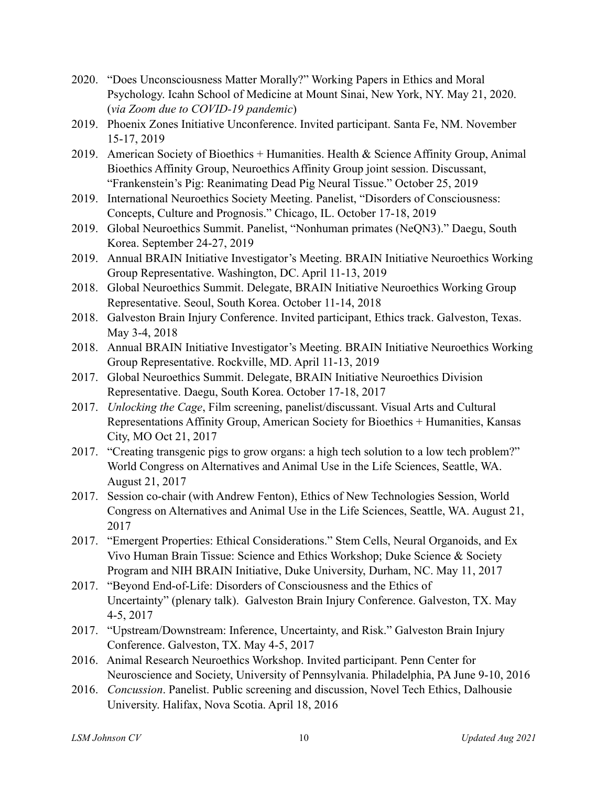- 2020. "Does Unconsciousness Matter Morally?" Working Papers in Ethics and Moral Psychology. Icahn School of Medicine at Mount Sinai, New York, NY. May 21, 2020. (*via Zoom due to COVID-19 pandemic*)
- 2019. Phoenix Zones Initiative Unconference. Invited participant. Santa Fe, NM. November 15-17, 2019
- 2019. American Society of Bioethics + Humanities. Health & Science Affinity Group, Animal Bioethics Affinity Group, Neuroethics Affinity Group joint session. Discussant, "Frankenstein's Pig: Reanimating Dead Pig Neural Tissue." October 25, 2019
- 2019. International Neuroethics Society Meeting. Panelist, "Disorders of Consciousness: Concepts, Culture and Prognosis." Chicago, IL. October 17-18, 2019
- 2019. Global Neuroethics Summit. Panelist, "Nonhuman primates (NeQN3)." Daegu, South Korea. September 24-27, 2019
- 2019. Annual BRAIN Initiative Investigator's Meeting. BRAIN Initiative Neuroethics Working Group Representative. Washington, DC. April 11-13, 2019
- 2018. Global Neuroethics Summit. Delegate, BRAIN Initiative Neuroethics Working Group Representative. Seoul, South Korea. October 11-14, 2018
- 2018. Galveston Brain Injury Conference. Invited participant, Ethics track. Galveston, Texas. May 3-4, 2018
- 2018. Annual BRAIN Initiative Investigator's Meeting. BRAIN Initiative Neuroethics Working Group Representative. Rockville, MD. April 11-13, 2019
- 2017. Global Neuroethics Summit. Delegate, BRAIN Initiative Neuroethics Division Representative. Daegu, South Korea. October 17-18, 2017
- 2017. *Unlocking the Cage*, Film screening, panelist/discussant. Visual Arts and Cultural Representations Affinity Group, American Society for Bioethics + Humanities, Kansas City, MO Oct 21, 2017
- 2017. "Creating transgenic pigs to grow organs: a high tech solution to a low tech problem?" World Congress on Alternatives and Animal Use in the Life Sciences, Seattle, WA. August 21, 2017
- 2017. Session co-chair (with Andrew Fenton), Ethics of New Technologies Session, World Congress on Alternatives and Animal Use in the Life Sciences, Seattle, WA. August 21, 2017
- 2017. "Emergent Properties: Ethical Considerations." Stem Cells, Neural Organoids, and Ex Vivo Human Brain Tissue: Science and Ethics Workshop; Duke Science & Society Program and NIH BRAIN Initiative, Duke University, Durham, NC. May 11, 2017
- 2017. "Beyond End-of-Life: Disorders of Consciousness and the Ethics of Uncertainty" (plenary talk). Galveston Brain Injury Conference. Galveston, TX. May 4-5, 2017
- 2017. "Upstream/Downstream: Inference, Uncertainty, and Risk." Galveston Brain Injury Conference. Galveston, TX. May 4-5, 2017
- 2016. Animal Research Neuroethics Workshop. Invited participant. Penn Center for Neuroscience and Society, University of Pennsylvania. Philadelphia, PA June 9-10, 2016
- 2016. *Concussion*. Panelist. Public screening and discussion, Novel Tech Ethics, Dalhousie University. Halifax, Nova Scotia. April 18, 2016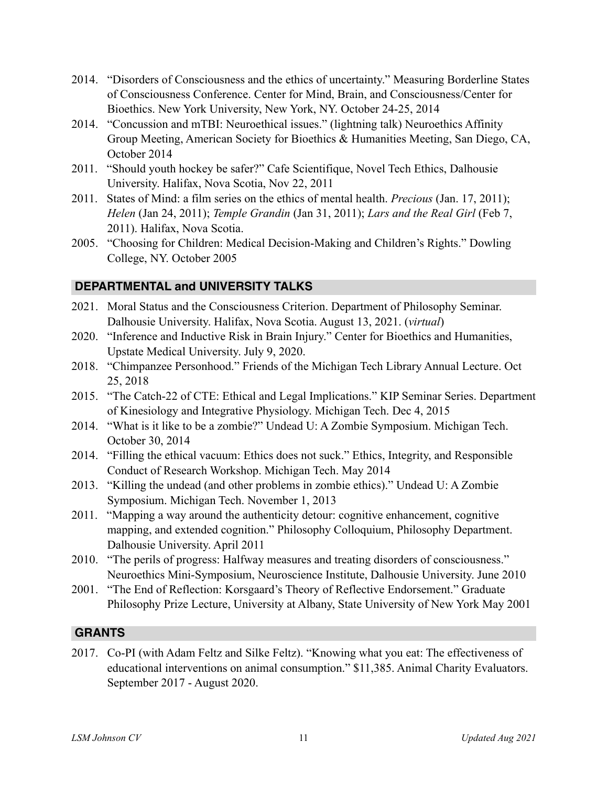- 2014. "Disorders of Consciousness and the ethics of uncertainty." Measuring Borderline States of Consciousness Conference. Center for Mind, Brain, and Consciousness/Center for Bioethics. New York University, New York, NY. October 24-25, 2014
- 2014. "Concussion and mTBI: Neuroethical issues." (lightning talk) Neuroethics Affinity Group Meeting, American Society for Bioethics & Humanities Meeting, San Diego, CA, October 2014
- 2011. "Should youth hockey be safer?" Cafe Scientifique, Novel Tech Ethics, Dalhousie University. Halifax, Nova Scotia, Nov 22, 2011
- 2011. States of Mind: a film series on the ethics of mental health. *Precious* (Jan. 17, 2011); *Helen* (Jan 24, 2011); *Temple Grandin* (Jan 31, 2011); *Lars and the Real Girl* (Feb 7, 2011). Halifax, Nova Scotia.
- 2005. "Choosing for Children: Medical Decision-Making and Children's Rights." Dowling College, NY. October 2005

### **DEPARTMENTAL and UNIVERSITY TALKS**

- 2021. Moral Status and the Consciousness Criterion. Department of Philosophy Seminar. Dalhousie University. Halifax, Nova Scotia. August 13, 2021. (*virtual*)
- 2020. "Inference and Inductive Risk in Brain Injury." Center for Bioethics and Humanities, Upstate Medical University. July 9, 2020.
- 2018. "Chimpanzee Personhood." Friends of the Michigan Tech Library Annual Lecture. Oct 25, 2018
- 2015. "The Catch-22 of CTE: Ethical and Legal Implications." KIP Seminar Series. Department of Kinesiology and Integrative Physiology. Michigan Tech. Dec 4, 2015
- 2014. "What is it like to be a zombie?" Undead U: A Zombie Symposium. Michigan Tech. October 30, 2014
- 2014. "Filling the ethical vacuum: Ethics does not suck." Ethics, Integrity, and Responsible Conduct of Research Workshop. Michigan Tech. May 2014
- 2013. "Killing the undead (and other problems in zombie ethics)." Undead U: A Zombie Symposium. Michigan Tech. November 1, 2013
- 2011. "Mapping a way around the authenticity detour: cognitive enhancement, cognitive mapping, and extended cognition." Philosophy Colloquium, Philosophy Department. Dalhousie University. April 2011
- 2010. "The perils of progress: Halfway measures and treating disorders of consciousness." Neuroethics Mini-Symposium, Neuroscience Institute, Dalhousie University. June 2010
- 2001. "The End of Reflection: Korsgaard's Theory of Reflective Endorsement." Graduate Philosophy Prize Lecture, University at Albany, State University of New York May 2001

### **GRANTS**

2017. Co-PI (with Adam Feltz and Silke Feltz). "Knowing what you eat: The effectiveness of educational interventions on animal consumption." \$11,385. Animal Charity Evaluators. September 2017 - August 2020.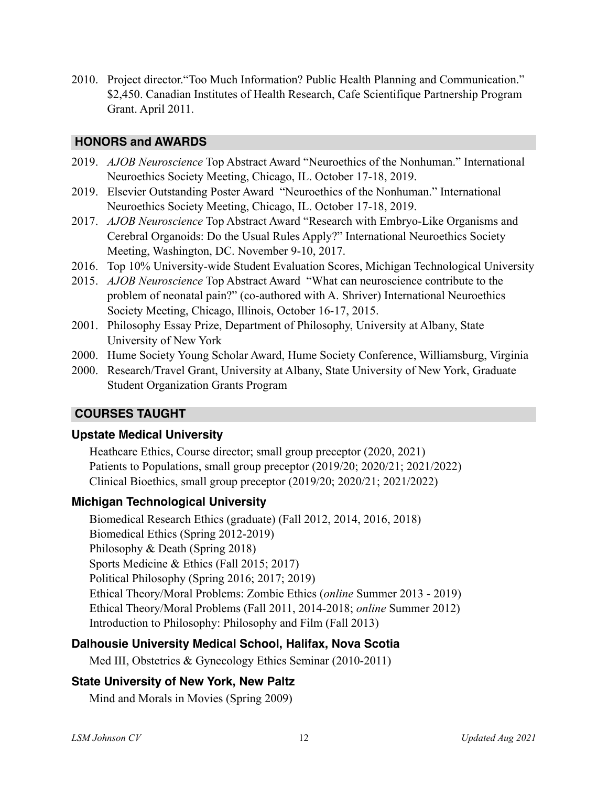2010. Project director."Too Much Information? Public Health Planning and Communication." \$2,450. Canadian Institutes of Health Research, Cafe Scientifique Partnership Program Grant. April 2011.

#### **HONORS and AWARDS**

- 2019. *AJOB Neuroscience* Top Abstract Award "Neuroethics of the Nonhuman." International Neuroethics Society Meeting, Chicago, IL. October 17-18, 2019.
- 2019. Elsevier Outstanding Poster Award "Neuroethics of the Nonhuman." International Neuroethics Society Meeting, Chicago, IL. October 17-18, 2019.
- 2017. *AJOB Neuroscience* Top Abstract Award "Research with Embryo-Like Organisms and Cerebral Organoids: Do the Usual Rules Apply?" International Neuroethics Society Meeting, Washington, DC. November 9-10, 2017.
- 2016. Top 10% University-wide Student Evaluation Scores, Michigan Technological University
- 2015. *AJOB Neuroscience* Top Abstract Award "What can neuroscience contribute to the problem of neonatal pain?" (co-authored with A. Shriver) International Neuroethics Society Meeting, Chicago, Illinois, October 16-17, 2015.
- 2001. Philosophy Essay Prize, Department of Philosophy, University at Albany, State University of New York
- 2000. Hume Society Young Scholar Award, Hume Society Conference, Williamsburg, Virginia
- 2000. Research/Travel Grant, University at Albany, State University of New York, Graduate Student Organization Grants Program

### **COURSES TAUGHT**

#### **Upstate Medical University**

 Heathcare Ethics, Course director; small group preceptor (2020, 2021) Patients to Populations, small group preceptor (2019/20; 2020/21; 2021/2022) Clinical Bioethics, small group preceptor (2019/20; 2020/21; 2021/2022)

### **Michigan Technological University**

Biomedical Research Ethics (graduate) (Fall 2012, 2014, 2016, 2018) Biomedical Ethics (Spring 2012-2019) Philosophy & Death (Spring 2018) Sports Medicine & Ethics (Fall 2015; 2017) Political Philosophy (Spring 2016; 2017; 2019) Ethical Theory/Moral Problems: Zombie Ethics (*online* Summer 2013 - 2019) Ethical Theory/Moral Problems (Fall 2011, 2014-2018; *online* Summer 2012) Introduction to Philosophy: Philosophy and Film (Fall 2013)

### **Dalhousie University Medical School, Halifax, Nova Scotia**

Med III, Obstetrics & Gynecology Ethics Seminar (2010-2011)

### **State University of New York, New Paltz**

Mind and Morals in Movies (Spring 2009)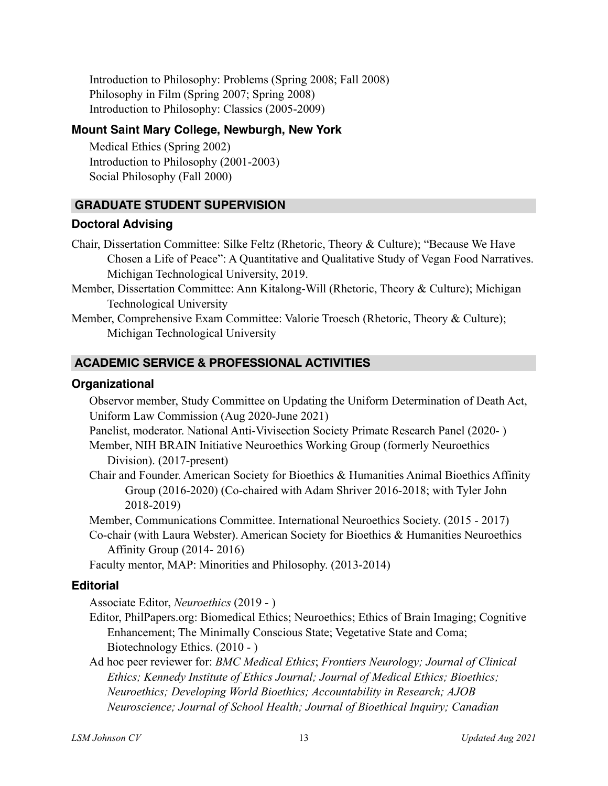Introduction to Philosophy: Problems (Spring 2008; Fall 2008) Philosophy in Film (Spring 2007; Spring 2008) Introduction to Philosophy: Classics (2005-2009)

#### **Mount Saint Mary College, Newburgh, New York**

Medical Ethics (Spring 2002) Introduction to Philosophy (2001-2003) Social Philosophy (Fall 2000)

### **GRADUATE STUDENT SUPERVISION**

#### **Doctoral Advising**

- Chair, Dissertation Committee: Silke Feltz (Rhetoric, Theory & Culture); "Because We Have Chosen a Life of Peace": A Quantitative and Qualitative Study of Vegan Food Narratives. Michigan Technological University, 2019.
- Member, Dissertation Committee: Ann Kitalong-Will (Rhetoric, Theory & Culture); Michigan Technological University
- Member, Comprehensive Exam Committee: Valorie Troesch (Rhetoric, Theory & Culture); Michigan Technological University

### **ACADEMIC SERVICE & PROFESSIONAL ACTIVITIES**

#### **Organizational**

Observor member, Study Committee on Updating the Uniform Determination of Death Act, Uniform Law Commission (Aug 2020-June 2021)

Panelist, moderator. National Anti-Vivisection Society Primate Research Panel (2020- )

Member, NIH BRAIN Initiative Neuroethics Working Group (formerly Neuroethics Division). (2017-present)

Chair and Founder. American Society for Bioethics & Humanities Animal Bioethics Affinity Group (2016-2020) (Co-chaired with Adam Shriver 2016-2018; with Tyler John 2018-2019)

Member, Communications Committee. International Neuroethics Society. (2015 - 2017)

Co-chair (with Laura Webster). American Society for Bioethics & Humanities Neuroethics Affinity Group (2014- 2016)

Faculty mentor, MAP: Minorities and Philosophy. (2013-2014)

### **Editorial**

Associate Editor, *Neuroethics* (2019 - )

- Editor, PhilPapers.org: Biomedical Ethics; Neuroethics; Ethics of Brain Imaging; Cognitive Enhancement; The Minimally Conscious State; Vegetative State and Coma; Biotechnology Ethics. (2010 - )
- Ad hoc peer reviewer for: *BMC Medical Ethics*; *Frontiers Neurology; Journal of Clinical Ethics; Kennedy Institute of Ethics Journal; Journal of Medical Ethics; Bioethics; Neuroethics; Developing World Bioethics; Accountability in Research; AJOB Neuroscience; Journal of School Health; Journal of Bioethical Inquiry; Canadian*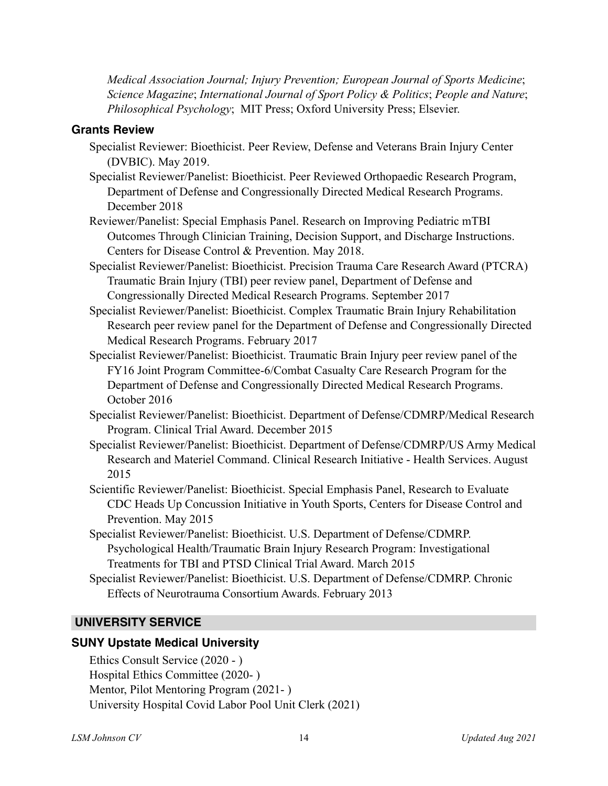*Medical Association Journal; Injury Prevention; European Journal of Sports Medicine*; *Science Magazine*; *International Journal of Sport Policy & Politics*; *People and Nature*; *Philosophical Psychology*; MIT Press; Oxford University Press; Elsevier.

#### **Grants Review**

- Specialist Reviewer: Bioethicist. Peer Review, Defense and Veterans Brain Injury Center (DVBIC). May 2019.
- Specialist Reviewer/Panelist: Bioethicist. Peer Reviewed Orthopaedic Research Program, Department of Defense and Congressionally Directed Medical Research Programs. December 2018
- Reviewer/Panelist: Special Emphasis Panel. Research on Improving Pediatric mTBI Outcomes Through Clinician Training, Decision Support, and Discharge Instructions. Centers for Disease Control & Prevention. May 2018.
- Specialist Reviewer/Panelist: Bioethicist. Precision Trauma Care Research Award (PTCRA) Traumatic Brain Injury (TBI) peer review panel, Department of Defense and Congressionally Directed Medical Research Programs. September 2017
- Specialist Reviewer/Panelist: Bioethicist. Complex Traumatic Brain Injury Rehabilitation Research peer review panel for the Department of Defense and Congressionally Directed Medical Research Programs. February 2017
- Specialist Reviewer/Panelist: Bioethicist. Traumatic Brain Injury peer review panel of the FY16 Joint Program Committee-6/Combat Casualty Care Research Program for the Department of Defense and Congressionally Directed Medical Research Programs. October 2016
- Specialist Reviewer/Panelist: Bioethicist. Department of Defense/CDMRP/Medical Research Program. Clinical Trial Award. December 2015
- Specialist Reviewer/Panelist: Bioethicist. Department of Defense/CDMRP/US Army Medical Research and Materiel Command. Clinical Research Initiative - Health Services. August 2015
- Scientific Reviewer/Panelist: Bioethicist. Special Emphasis Panel, Research to Evaluate CDC Heads Up Concussion Initiative in Youth Sports, Centers for Disease Control and Prevention. May 2015
- Specialist Reviewer/Panelist: Bioethicist. U.S. Department of Defense/CDMRP. Psychological Health/Traumatic Brain Injury Research Program: Investigational Treatments for TBI and PTSD Clinical Trial Award. March 2015
- Specialist Reviewer/Panelist: Bioethicist. U.S. Department of Defense/CDMRP. Chronic Effects of Neurotrauma Consortium Awards. February 2013

### **UNIVERSITY SERVICE**

#### **SUNY Upstate Medical University**

Ethics Consult Service (2020 - ) Hospital Ethics Committee (2020- ) Mentor, Pilot Mentoring Program (2021- ) University Hospital Covid Labor Pool Unit Clerk (2021)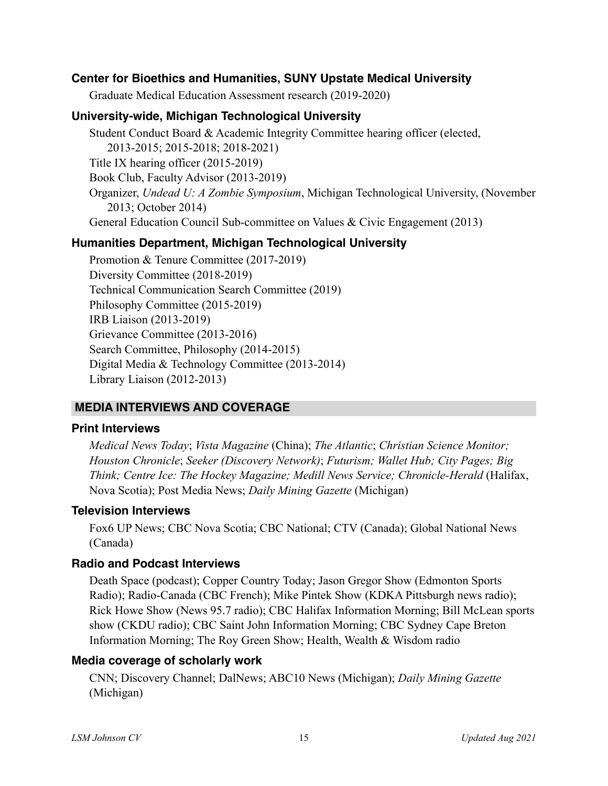#### **Center for Bioethics and Humanities, SUNY Upstate Medical University**

Graduate Medical Education Assessment research (2019-2020)

#### **University-wide, Michigan Technological University**

Student Conduct Board & Academic Integrity Committee hearing officer (elected, 2013-2015; 2015-2018; 2018-2021) Title IX hearing officer (2015-2019) Book Club, Faculty Advisor (2013-2019) Organizer, *Undead U: A Zombie Symposium*, Michigan Technological University, (November 2013; October 2014) General Education Council Sub-committee on Values & Civic Engagement (2013)

#### **Humanities Department, Michigan Technological University**

Promotion & Tenure Committee (2017-2019) Diversity Committee (2018-2019) Technical Communication Search Committee (2019) Philosophy Committee (2015-2019) IRB Liaison (2013-2019) Grievance Committee (2013-2016) Search Committee, Philosophy (2014-2015) Digital Media & Technology Committee (2013-2014) Library Liaison (2012-2013)

#### **MEDIA INTERVIEWS AND COVERAGE**

#### **Print Interviews**

*Medical News Today*; *Vista Magazine* (China); *The Atlantic*; *Christian Science Monitor; Houston Chronicle*; *Seeker (Discovery Network)*; *Futurism; Wallet Hub; City Pages; Big Think; Centre Ice: The Hockey Magazine; Medill News Service; Chronicle-Herald* (Halifax, Nova Scotia); Post Media News; *Daily Mining Gazette* (Michigan)

#### **Television Interviews**

Fox6 UP News; CBC Nova Scotia; CBC National; CTV (Canada); Global National News (Canada)

#### **Radio and Podcast Interviews**

Death Space (podcast); Copper Country Today; Jason Gregor Show (Edmonton Sports Radio); Radio-Canada (CBC French); Mike Pintek Show (KDKA Pittsburgh news radio); Rick Howe Show (News 95.7 radio); CBC Halifax Information Morning; Bill McLean sports show (CKDU radio); CBC Saint John Information Morning; CBC Sydney Cape Breton Information Morning; The Roy Green Show; Health, Wealth & Wisdom radio

#### **Media coverage of scholarly work**

CNN; Discovery Channel; DalNews; ABC10 News (Michigan); *Daily Mining Gazette* (Michigan)